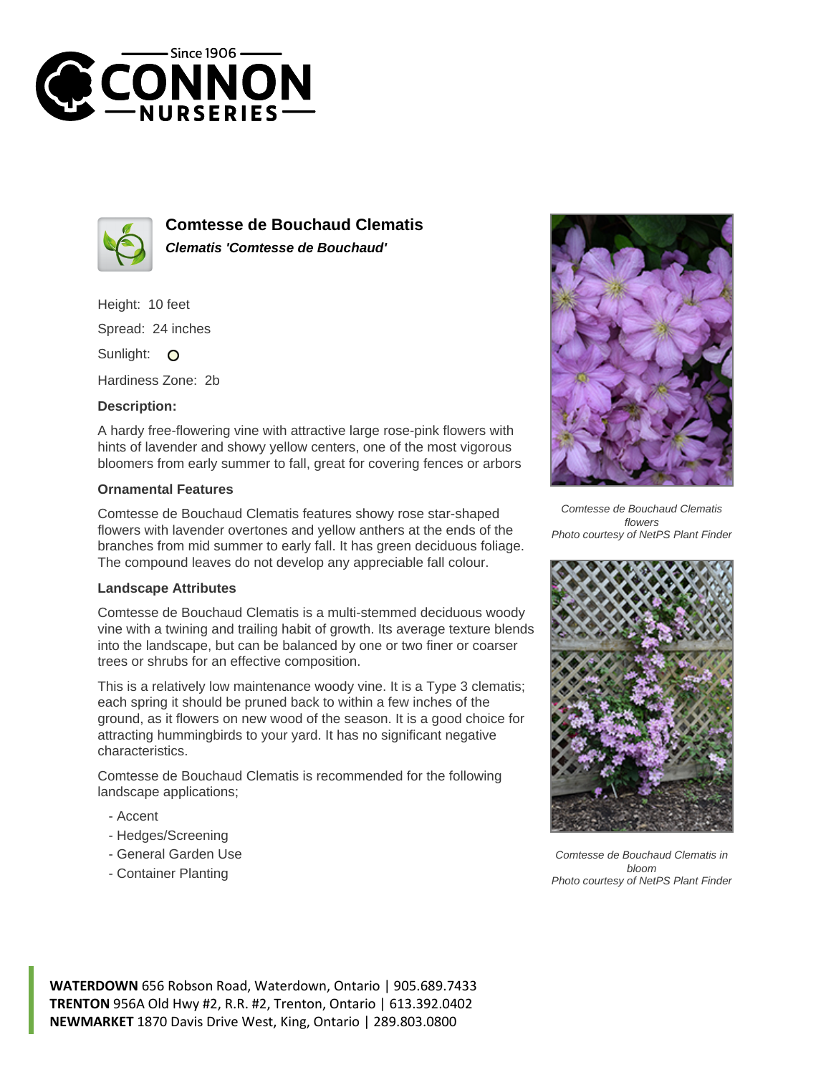



**Comtesse de Bouchaud Clematis Clematis 'Comtesse de Bouchaud'**

Height: 10 feet Spread: 24 inches Sunlight: O

Hardiness Zone: 2b

## **Description:**

A hardy free-flowering vine with attractive large rose-pink flowers with hints of lavender and showy yellow centers, one of the most vigorous bloomers from early summer to fall, great for covering fences or arbors

## **Ornamental Features**

Comtesse de Bouchaud Clematis features showy rose star-shaped flowers with lavender overtones and yellow anthers at the ends of the branches from mid summer to early fall. It has green deciduous foliage. The compound leaves do not develop any appreciable fall colour.

## **Landscape Attributes**

Comtesse de Bouchaud Clematis is a multi-stemmed deciduous woody vine with a twining and trailing habit of growth. Its average texture blends into the landscape, but can be balanced by one or two finer or coarser trees or shrubs for an effective composition.

This is a relatively low maintenance woody vine. It is a Type 3 clematis; each spring it should be pruned back to within a few inches of the ground, as it flowers on new wood of the season. It is a good choice for attracting hummingbirds to your yard. It has no significant negative characteristics.

Comtesse de Bouchaud Clematis is recommended for the following landscape applications;

- Accent
- Hedges/Screening
- General Garden Use
- Container Planting



Comtesse de Bouchaud Clematis flowers Photo courtesy of NetPS Plant Finder



Comtesse de Bouchaud Clematis in bloom Photo courtesy of NetPS Plant Finder

**WATERDOWN** 656 Robson Road, Waterdown, Ontario | 905.689.7433 **TRENTON** 956A Old Hwy #2, R.R. #2, Trenton, Ontario | 613.392.0402 **NEWMARKET** 1870 Davis Drive West, King, Ontario | 289.803.0800